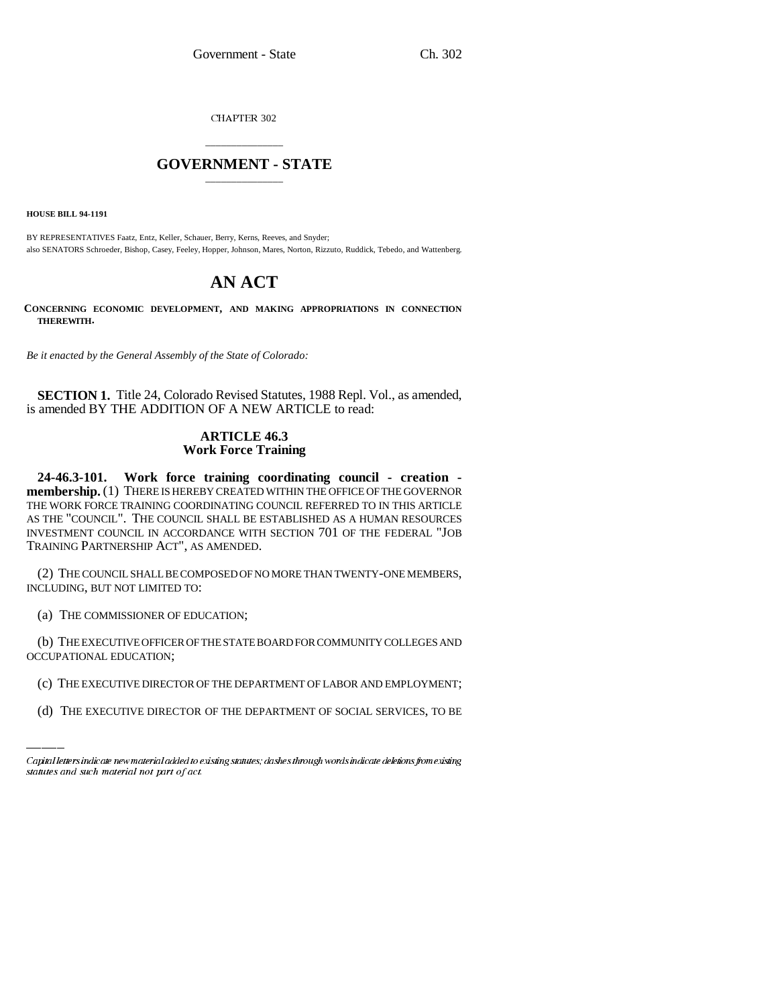CHAPTER 302

## \_\_\_\_\_\_\_\_\_\_\_\_\_\_\_ **GOVERNMENT - STATE** \_\_\_\_\_\_\_\_\_\_\_\_\_\_\_

**HOUSE BILL 94-1191**

BY REPRESENTATIVES Faatz, Entz, Keller, Schauer, Berry, Kerns, Reeves, and Snyder; also SENATORS Schroeder, Bishop, Casey, Feeley, Hopper, Johnson, Mares, Norton, Rizzuto, Ruddick, Tebedo, and Wattenberg.

# **AN ACT**

**CONCERNING ECONOMIC DEVELOPMENT, AND MAKING APPROPRIATIONS IN CONNECTION THEREWITH.**

*Be it enacted by the General Assembly of the State of Colorado:*

**SECTION 1.** Title 24, Colorado Revised Statutes, 1988 Repl. Vol., as amended, is amended BY THE ADDITION OF A NEW ARTICLE to read:

## **ARTICLE 46.3 Work Force Training**

**24-46.3-101. Work force training coordinating council - creation membership.** (1) THERE IS HEREBY CREATED WITHIN THE OFFICE OF THE GOVERNOR THE WORK FORCE TRAINING COORDINATING COUNCIL REFERRED TO IN THIS ARTICLE AS THE "COUNCIL". THE COUNCIL SHALL BE ESTABLISHED AS A HUMAN RESOURCES INVESTMENT COUNCIL IN ACCORDANCE WITH SECTION 701 OF THE FEDERAL "JOB TRAINING PARTNERSHIP ACT", AS AMENDED.

(2) THE COUNCIL SHALL BE COMPOSED OF NO MORE THAN TWENTY-ONE MEMBERS, INCLUDING, BUT NOT LIMITED TO:

(a) THE COMMISSIONER OF EDUCATION;

OCCUPATIONAL EDUCATION; (b) THE EXECUTIVE OFFICER OF THE STATE BOARD FOR COMMUNITY COLLEGES AND

- (c) THE EXECUTIVE DIRECTOR OF THE DEPARTMENT OF LABOR AND EMPLOYMENT;
- (d) THE EXECUTIVE DIRECTOR OF THE DEPARTMENT OF SOCIAL SERVICES, TO BE

Capital letters indicate new material added to existing statutes; dashes through words indicate deletions from existing statutes and such material not part of act.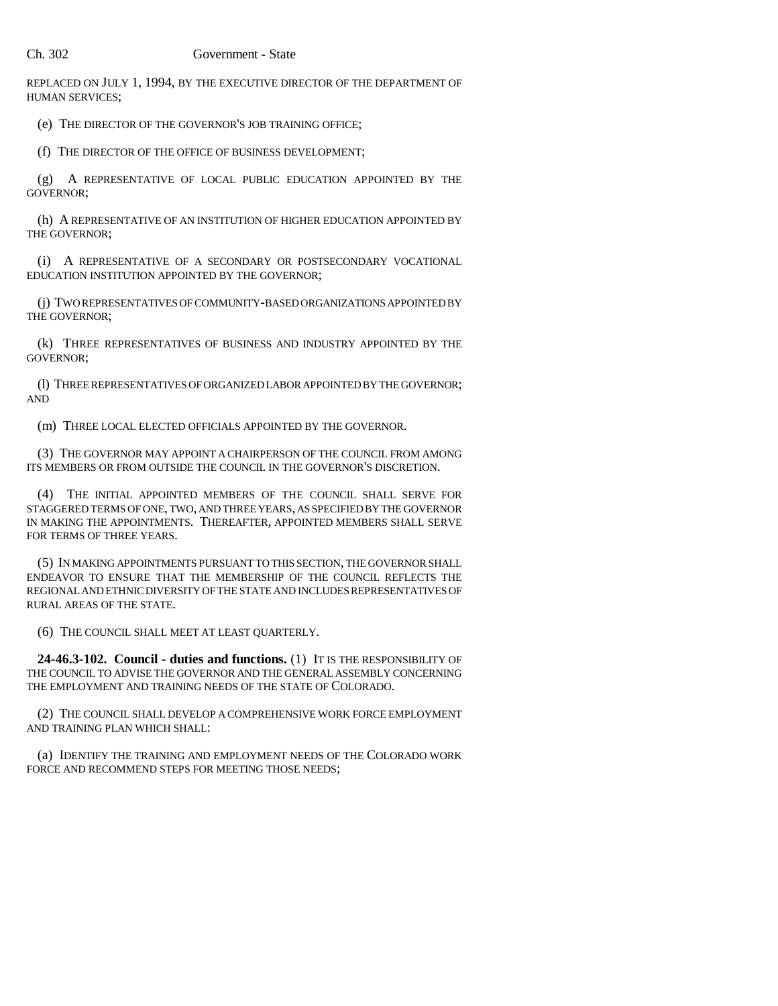REPLACED ON JULY 1, 1994, BY THE EXECUTIVE DIRECTOR OF THE DEPARTMENT OF HUMAN SERVICES;

(e) THE DIRECTOR OF THE GOVERNOR'S JOB TRAINING OFFICE;

(f) THE DIRECTOR OF THE OFFICE OF BUSINESS DEVELOPMENT;

(g) A REPRESENTATIVE OF LOCAL PUBLIC EDUCATION APPOINTED BY THE GOVERNOR;

(h) A REPRESENTATIVE OF AN INSTITUTION OF HIGHER EDUCATION APPOINTED BY THE GOVERNOR;

(i) A REPRESENTATIVE OF A SECONDARY OR POSTSECONDARY VOCATIONAL EDUCATION INSTITUTION APPOINTED BY THE GOVERNOR;

(j) TWO REPRESENTATIVES OF COMMUNITY-BASED ORGANIZATIONS APPOINTED BY THE GOVERNOR;

(k) THREE REPRESENTATIVES OF BUSINESS AND INDUSTRY APPOINTED BY THE GOVERNOR;

(l) THREE REPRESENTATIVES OF ORGANIZED LABOR APPOINTED BY THE GOVERNOR; AND

(m) THREE LOCAL ELECTED OFFICIALS APPOINTED BY THE GOVERNOR.

(3) THE GOVERNOR MAY APPOINT A CHAIRPERSON OF THE COUNCIL FROM AMONG ITS MEMBERS OR FROM OUTSIDE THE COUNCIL IN THE GOVERNOR'S DISCRETION.

(4) THE INITIAL APPOINTED MEMBERS OF THE COUNCIL SHALL SERVE FOR STAGGERED TERMS OF ONE, TWO, AND THREE YEARS, AS SPECIFIED BY THE GOVERNOR IN MAKING THE APPOINTMENTS. THEREAFTER, APPOINTED MEMBERS SHALL SERVE FOR TERMS OF THREE YEARS.

(5) IN MAKING APPOINTMENTS PURSUANT TO THIS SECTION, THE GOVERNOR SHALL ENDEAVOR TO ENSURE THAT THE MEMBERSHIP OF THE COUNCIL REFLECTS THE REGIONAL AND ETHNIC DIVERSITY OF THE STATE AND INCLUDES REPRESENTATIVES OF RURAL AREAS OF THE STATE.

(6) THE COUNCIL SHALL MEET AT LEAST QUARTERLY.

**24-46.3-102. Council - duties and functions.** (1) IT IS THE RESPONSIBILITY OF THE COUNCIL TO ADVISE THE GOVERNOR AND THE GENERAL ASSEMBLY CONCERNING THE EMPLOYMENT AND TRAINING NEEDS OF THE STATE OF COLORADO.

(2) THE COUNCIL SHALL DEVELOP A COMPREHENSIVE WORK FORCE EMPLOYMENT AND TRAINING PLAN WHICH SHALL:

(a) IDENTIFY THE TRAINING AND EMPLOYMENT NEEDS OF THE COLORADO WORK FORCE AND RECOMMEND STEPS FOR MEETING THOSE NEEDS;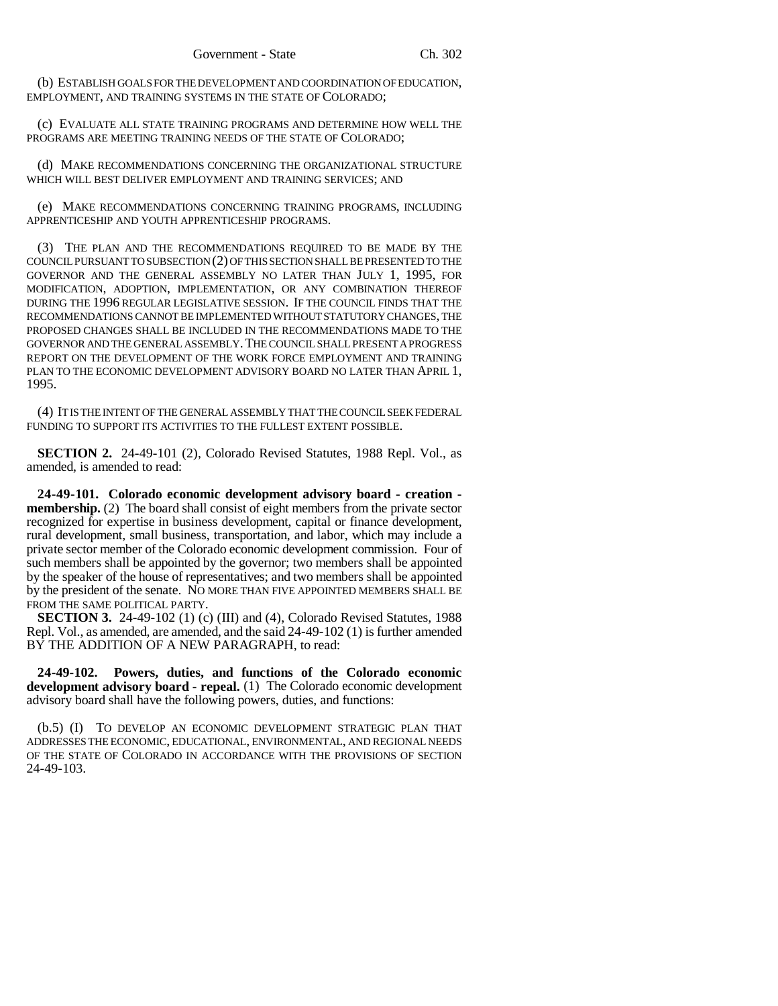(b) ESTABLISH GOALS FOR THE DEVELOPMENT AND COORDINATION OF EDUCATION, EMPLOYMENT, AND TRAINING SYSTEMS IN THE STATE OF COLORADO;

(c) EVALUATE ALL STATE TRAINING PROGRAMS AND DETERMINE HOW WELL THE PROGRAMS ARE MEETING TRAINING NEEDS OF THE STATE OF COLORADO;

(d) MAKE RECOMMENDATIONS CONCERNING THE ORGANIZATIONAL STRUCTURE WHICH WILL BEST DELIVER EMPLOYMENT AND TRAINING SERVICES; AND

(e) MAKE RECOMMENDATIONS CONCERNING TRAINING PROGRAMS, INCLUDING APPRENTICESHIP AND YOUTH APPRENTICESHIP PROGRAMS.

(3) THE PLAN AND THE RECOMMENDATIONS REQUIRED TO BE MADE BY THE COUNCIL PURSUANT TO SUBSECTION (2) OF THIS SECTION SHALL BE PRESENTED TO THE GOVERNOR AND THE GENERAL ASSEMBLY NO LATER THAN JULY 1, 1995, FOR MODIFICATION, ADOPTION, IMPLEMENTATION, OR ANY COMBINATION THEREOF DURING THE 1996 REGULAR LEGISLATIVE SESSION. IF THE COUNCIL FINDS THAT THE RECOMMENDATIONS CANNOT BE IMPLEMENTED WITHOUT STATUTORY CHANGES, THE PROPOSED CHANGES SHALL BE INCLUDED IN THE RECOMMENDATIONS MADE TO THE GOVERNOR AND THE GENERAL ASSEMBLY.THE COUNCIL SHALL PRESENT A PROGRESS REPORT ON THE DEVELOPMENT OF THE WORK FORCE EMPLOYMENT AND TRAINING PLAN TO THE ECONOMIC DEVELOPMENT ADVISORY BOARD NO LATER THAN APRIL 1, 1995.

(4) IT IS THE INTENT OF THE GENERAL ASSEMBLY THAT THE COUNCIL SEEK FEDERAL FUNDING TO SUPPORT ITS ACTIVITIES TO THE FULLEST EXTENT POSSIBLE.

**SECTION 2.** 24-49-101 (2), Colorado Revised Statutes, 1988 Repl. Vol., as amended, is amended to read:

**24-49-101. Colorado economic development advisory board - creation membership.** (2) The board shall consist of eight members from the private sector recognized for expertise in business development, capital or finance development, rural development, small business, transportation, and labor, which may include a private sector member of the Colorado economic development commission. Four of such members shall be appointed by the governor; two members shall be appointed by the speaker of the house of representatives; and two members shall be appointed by the president of the senate. NO MORE THAN FIVE APPOINTED MEMBERS SHALL BE FROM THE SAME POLITICAL PARTY.

**SECTION 3.** 24-49-102 (1) (c) (III) and (4), Colorado Revised Statutes, 1988 Repl. Vol., as amended, are amended, and the said 24-49-102 (1) is further amended BY THE ADDITION OF A NEW PARAGRAPH, to read:

**24-49-102. Powers, duties, and functions of the Colorado economic development advisory board - repeal.** (1) The Colorado economic development advisory board shall have the following powers, duties, and functions:

(b.5) (I) TO DEVELOP AN ECONOMIC DEVELOPMENT STRATEGIC PLAN THAT ADDRESSES THE ECONOMIC, EDUCATIONAL, ENVIRONMENTAL, AND REGIONAL NEEDS OF THE STATE OF COLORADO IN ACCORDANCE WITH THE PROVISIONS OF SECTION 24-49-103.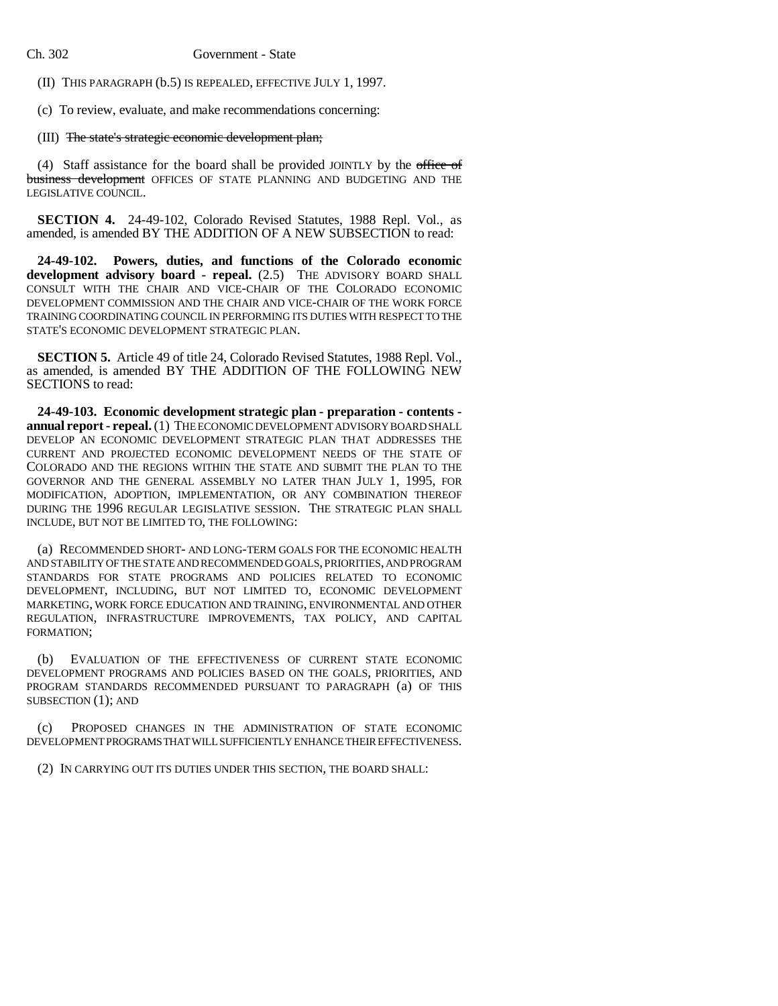(II) THIS PARAGRAPH (b.5) IS REPEALED, EFFECTIVE JULY 1, 1997.

(c) To review, evaluate, and make recommendations concerning:

#### (III) The state's strategic economic development plan;

(4) Staff assistance for the board shall be provided JOINTLY by the office of business development OFFICES OF STATE PLANNING AND BUDGETING AND THE LEGISLATIVE COUNCIL.

**SECTION 4.** 24-49-102, Colorado Revised Statutes, 1988 Repl. Vol., as amended, is amended BY THE ADDITION OF A NEW SUBSECTION to read:

**24-49-102. Powers, duties, and functions of the Colorado economic development advisory board - repeal.** (2.5) THE ADVISORY BOARD SHALL CONSULT WITH THE CHAIR AND VICE-CHAIR OF THE COLORADO ECONOMIC DEVELOPMENT COMMISSION AND THE CHAIR AND VICE-CHAIR OF THE WORK FORCE TRAINING COORDINATING COUNCIL IN PERFORMING ITS DUTIES WITH RESPECT TO THE STATE'S ECONOMIC DEVELOPMENT STRATEGIC PLAN.

**SECTION 5.** Article 49 of title 24, Colorado Revised Statutes, 1988 Repl. Vol., as amended, is amended BY THE ADDITION OF THE FOLLOWING NEW SECTIONS to read:

**24-49-103. Economic development strategic plan - preparation - contents annual report - repeal.** (1) THE ECONOMIC DEVELOPMENT ADVISORY BOARD SHALL DEVELOP AN ECONOMIC DEVELOPMENT STRATEGIC PLAN THAT ADDRESSES THE CURRENT AND PROJECTED ECONOMIC DEVELOPMENT NEEDS OF THE STATE OF COLORADO AND THE REGIONS WITHIN THE STATE AND SUBMIT THE PLAN TO THE GOVERNOR AND THE GENERAL ASSEMBLY NO LATER THAN JULY 1, 1995, FOR MODIFICATION, ADOPTION, IMPLEMENTATION, OR ANY COMBINATION THEREOF DURING THE 1996 REGULAR LEGISLATIVE SESSION. THE STRATEGIC PLAN SHALL INCLUDE, BUT NOT BE LIMITED TO, THE FOLLOWING:

(a) RECOMMENDED SHORT- AND LONG-TERM GOALS FOR THE ECONOMIC HEALTH AND STABILITY OF THE STATE AND RECOMMENDED GOALS, PRIORITIES, AND PROGRAM STANDARDS FOR STATE PROGRAMS AND POLICIES RELATED TO ECONOMIC DEVELOPMENT, INCLUDING, BUT NOT LIMITED TO, ECONOMIC DEVELOPMENT MARKETING, WORK FORCE EDUCATION AND TRAINING, ENVIRONMENTAL AND OTHER REGULATION, INFRASTRUCTURE IMPROVEMENTS, TAX POLICY, AND CAPITAL FORMATION;

(b) EVALUATION OF THE EFFECTIVENESS OF CURRENT STATE ECONOMIC DEVELOPMENT PROGRAMS AND POLICIES BASED ON THE GOALS, PRIORITIES, AND PROGRAM STANDARDS RECOMMENDED PURSUANT TO PARAGRAPH (a) OF THIS SUBSECTION (1); AND

(c) PROPOSED CHANGES IN THE ADMINISTRATION OF STATE ECONOMIC DEVELOPMENT PROGRAMS THAT WILL SUFFICIENTLY ENHANCE THEIR EFFECTIVENESS.

(2) IN CARRYING OUT ITS DUTIES UNDER THIS SECTION, THE BOARD SHALL: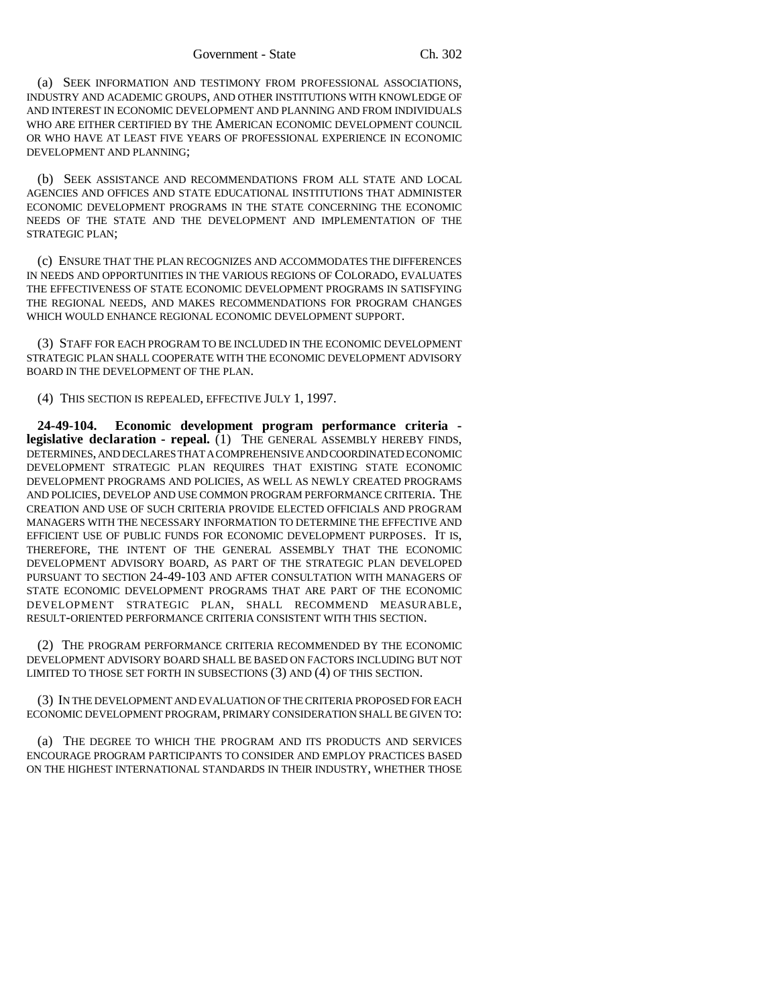(a) SEEK INFORMATION AND TESTIMONY FROM PROFESSIONAL ASSOCIATIONS, INDUSTRY AND ACADEMIC GROUPS, AND OTHER INSTITUTIONS WITH KNOWLEDGE OF AND INTEREST IN ECONOMIC DEVELOPMENT AND PLANNING AND FROM INDIVIDUALS WHO ARE EITHER CERTIFIED BY THE AMERICAN ECONOMIC DEVELOPMENT COUNCIL OR WHO HAVE AT LEAST FIVE YEARS OF PROFESSIONAL EXPERIENCE IN ECONOMIC DEVELOPMENT AND PLANNING;

(b) SEEK ASSISTANCE AND RECOMMENDATIONS FROM ALL STATE AND LOCAL AGENCIES AND OFFICES AND STATE EDUCATIONAL INSTITUTIONS THAT ADMINISTER ECONOMIC DEVELOPMENT PROGRAMS IN THE STATE CONCERNING THE ECONOMIC NEEDS OF THE STATE AND THE DEVELOPMENT AND IMPLEMENTATION OF THE STRATEGIC PLAN;

(c) ENSURE THAT THE PLAN RECOGNIZES AND ACCOMMODATES THE DIFFERENCES IN NEEDS AND OPPORTUNITIES IN THE VARIOUS REGIONS OF COLORADO, EVALUATES THE EFFECTIVENESS OF STATE ECONOMIC DEVELOPMENT PROGRAMS IN SATISFYING THE REGIONAL NEEDS, AND MAKES RECOMMENDATIONS FOR PROGRAM CHANGES WHICH WOULD ENHANCE REGIONAL ECONOMIC DEVELOPMENT SUPPORT.

(3) STAFF FOR EACH PROGRAM TO BE INCLUDED IN THE ECONOMIC DEVELOPMENT STRATEGIC PLAN SHALL COOPERATE WITH THE ECONOMIC DEVELOPMENT ADVISORY BOARD IN THE DEVELOPMENT OF THE PLAN.

(4) THIS SECTION IS REPEALED, EFFECTIVE JULY 1, 1997.

**24-49-104. Economic development program performance criteria legislative declaration - repeal.** (1) THE GENERAL ASSEMBLY HEREBY FINDS, DETERMINES, AND DECLARES THAT A COMPREHENSIVE AND COORDINATED ECONOMIC DEVELOPMENT STRATEGIC PLAN REQUIRES THAT EXISTING STATE ECONOMIC DEVELOPMENT PROGRAMS AND POLICIES, AS WELL AS NEWLY CREATED PROGRAMS AND POLICIES, DEVELOP AND USE COMMON PROGRAM PERFORMANCE CRITERIA. THE CREATION AND USE OF SUCH CRITERIA PROVIDE ELECTED OFFICIALS AND PROGRAM MANAGERS WITH THE NECESSARY INFORMATION TO DETERMINE THE EFFECTIVE AND EFFICIENT USE OF PUBLIC FUNDS FOR ECONOMIC DEVELOPMENT PURPOSES. IT IS, THEREFORE, THE INTENT OF THE GENERAL ASSEMBLY THAT THE ECONOMIC DEVELOPMENT ADVISORY BOARD, AS PART OF THE STRATEGIC PLAN DEVELOPED PURSUANT TO SECTION 24-49-103 AND AFTER CONSULTATION WITH MANAGERS OF STATE ECONOMIC DEVELOPMENT PROGRAMS THAT ARE PART OF THE ECONOMIC DEVELOPMENT STRATEGIC PLAN, SHALL RECOMMEND MEASURABLE, RESULT-ORIENTED PERFORMANCE CRITERIA CONSISTENT WITH THIS SECTION.

(2) THE PROGRAM PERFORMANCE CRITERIA RECOMMENDED BY THE ECONOMIC DEVELOPMENT ADVISORY BOARD SHALL BE BASED ON FACTORS INCLUDING BUT NOT LIMITED TO THOSE SET FORTH IN SUBSECTIONS (3) AND (4) OF THIS SECTION.

(3) IN THE DEVELOPMENT AND EVALUATION OF THE CRITERIA PROPOSED FOR EACH ECONOMIC DEVELOPMENT PROGRAM, PRIMARY CONSIDERATION SHALL BE GIVEN TO:

(a) THE DEGREE TO WHICH THE PROGRAM AND ITS PRODUCTS AND SERVICES ENCOURAGE PROGRAM PARTICIPANTS TO CONSIDER AND EMPLOY PRACTICES BASED ON THE HIGHEST INTERNATIONAL STANDARDS IN THEIR INDUSTRY, WHETHER THOSE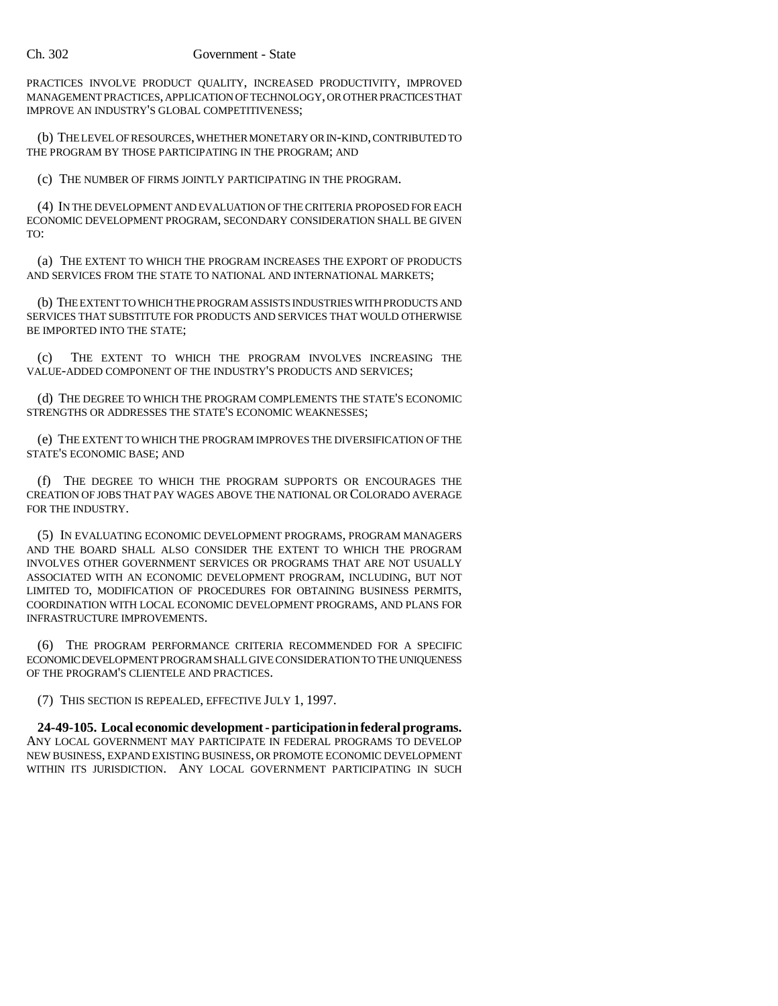### Ch. 302 Government - State

PRACTICES INVOLVE PRODUCT QUALITY, INCREASED PRODUCTIVITY, IMPROVED MANAGEMENT PRACTICES, APPLICATION OF TECHNOLOGY, OR OTHER PRACTICES THAT IMPROVE AN INDUSTRY'S GLOBAL COMPETITIVENESS;

(b) THE LEVEL OF RESOURCES, WHETHER MONETARY OR IN-KIND, CONTRIBUTED TO THE PROGRAM BY THOSE PARTICIPATING IN THE PROGRAM; AND

(c) THE NUMBER OF FIRMS JOINTLY PARTICIPATING IN THE PROGRAM.

(4) IN THE DEVELOPMENT AND EVALUATION OF THE CRITERIA PROPOSED FOR EACH ECONOMIC DEVELOPMENT PROGRAM, SECONDARY CONSIDERATION SHALL BE GIVEN TO:

(a) THE EXTENT TO WHICH THE PROGRAM INCREASES THE EXPORT OF PRODUCTS AND SERVICES FROM THE STATE TO NATIONAL AND INTERNATIONAL MARKETS;

(b) THE EXTENT TO WHICH THE PROGRAM ASSISTS INDUSTRIES WITH PRODUCTS AND SERVICES THAT SUBSTITUTE FOR PRODUCTS AND SERVICES THAT WOULD OTHERWISE BE IMPORTED INTO THE STATE;

(c) THE EXTENT TO WHICH THE PROGRAM INVOLVES INCREASING THE VALUE-ADDED COMPONENT OF THE INDUSTRY'S PRODUCTS AND SERVICES;

(d) THE DEGREE TO WHICH THE PROGRAM COMPLEMENTS THE STATE'S ECONOMIC STRENGTHS OR ADDRESSES THE STATE'S ECONOMIC WEAKNESSES;

(e) THE EXTENT TO WHICH THE PROGRAM IMPROVES THE DIVERSIFICATION OF THE STATE'S ECONOMIC BASE; AND

(f) THE DEGREE TO WHICH THE PROGRAM SUPPORTS OR ENCOURAGES THE CREATION OF JOBS THAT PAY WAGES ABOVE THE NATIONAL OR COLORADO AVERAGE FOR THE INDUSTRY.

(5) IN EVALUATING ECONOMIC DEVELOPMENT PROGRAMS, PROGRAM MANAGERS AND THE BOARD SHALL ALSO CONSIDER THE EXTENT TO WHICH THE PROGRAM INVOLVES OTHER GOVERNMENT SERVICES OR PROGRAMS THAT ARE NOT USUALLY ASSOCIATED WITH AN ECONOMIC DEVELOPMENT PROGRAM, INCLUDING, BUT NOT LIMITED TO, MODIFICATION OF PROCEDURES FOR OBTAINING BUSINESS PERMITS, COORDINATION WITH LOCAL ECONOMIC DEVELOPMENT PROGRAMS, AND PLANS FOR INFRASTRUCTURE IMPROVEMENTS.

(6) THE PROGRAM PERFORMANCE CRITERIA RECOMMENDED FOR A SPECIFIC ECONOMIC DEVELOPMENT PROGRAM SHALL GIVE CONSIDERATION TO THE UNIQUENESS OF THE PROGRAM'S CLIENTELE AND PRACTICES.

(7) THIS SECTION IS REPEALED, EFFECTIVE JULY 1, 1997.

**24-49-105. Local economic development - participation in federal programs.** ANY LOCAL GOVERNMENT MAY PARTICIPATE IN FEDERAL PROGRAMS TO DEVELOP NEW BUSINESS, EXPAND EXISTING BUSINESS, OR PROMOTE ECONOMIC DEVELOPMENT WITHIN ITS JURISDICTION. ANY LOCAL GOVERNMENT PARTICIPATING IN SUCH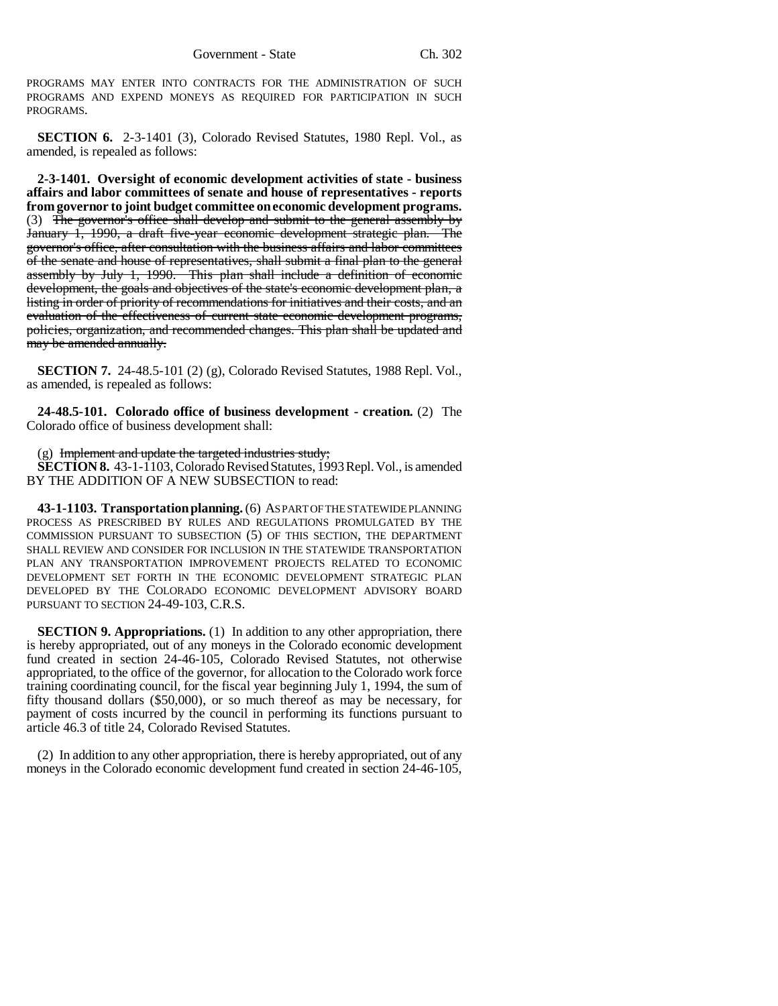PROGRAMS MAY ENTER INTO CONTRACTS FOR THE ADMINISTRATION OF SUCH PROGRAMS AND EXPEND MONEYS AS REQUIRED FOR PARTICIPATION IN SUCH PROGRAMS.

**SECTION 6.** 2-3-1401 (3), Colorado Revised Statutes, 1980 Repl. Vol., as amended, is repealed as follows:

**2-3-1401. Oversight of economic development activities of state - business affairs and labor committees of senate and house of representatives - reports from governor to joint budget committee on economic development programs.** (3) The governor's office shall develop and submit to the general assembly by January 1, 1990, a draft five-year economic development strategic plan. The governor's office, after consultation with the business affairs and labor committees of the senate and house of representatives, shall submit a final plan to the general assembly by July 1, 1990. This plan shall include a definition of economic development, the goals and objectives of the state's economic development plan, a listing in order of priority of recommendations for initiatives and their costs, and an evaluation of the effectiveness of current state economic development programs, policies, organization, and recommended changes. This plan shall be updated and may be amended annually.

**SECTION 7.** 24-48.5-101 (2) (g), Colorado Revised Statutes, 1988 Repl. Vol., as amended, is repealed as follows:

**24-48.5-101. Colorado office of business development - creation.** (2) The Colorado office of business development shall:

(g) Implement and update the targeted industries study;

**SECTION 8.** 43-1-1103, Colorado Revised Statutes, 1993 Repl. Vol., is amended BY THE ADDITION OF A NEW SUBSECTION to read:

**43-1-1103. Transportation planning.** (6) AS PART OF THE STATEWIDE PLANNING PROCESS AS PRESCRIBED BY RULES AND REGULATIONS PROMULGATED BY THE COMMISSION PURSUANT TO SUBSECTION (5) OF THIS SECTION, THE DEPARTMENT SHALL REVIEW AND CONSIDER FOR INCLUSION IN THE STATEWIDE TRANSPORTATION PLAN ANY TRANSPORTATION IMPROVEMENT PROJECTS RELATED TO ECONOMIC DEVELOPMENT SET FORTH IN THE ECONOMIC DEVELOPMENT STRATEGIC PLAN DEVELOPED BY THE COLORADO ECONOMIC DEVELOPMENT ADVISORY BOARD PURSUANT TO SECTION 24-49-103, C.R.S.

**SECTION 9. Appropriations.** (1) In addition to any other appropriation, there is hereby appropriated, out of any moneys in the Colorado economic development fund created in section 24-46-105, Colorado Revised Statutes, not otherwise appropriated, to the office of the governor, for allocation to the Colorado work force training coordinating council, for the fiscal year beginning July 1, 1994, the sum of fifty thousand dollars (\$50,000), or so much thereof as may be necessary, for payment of costs incurred by the council in performing its functions pursuant to article 46.3 of title 24, Colorado Revised Statutes.

(2) In addition to any other appropriation, there is hereby appropriated, out of any moneys in the Colorado economic development fund created in section 24-46-105,